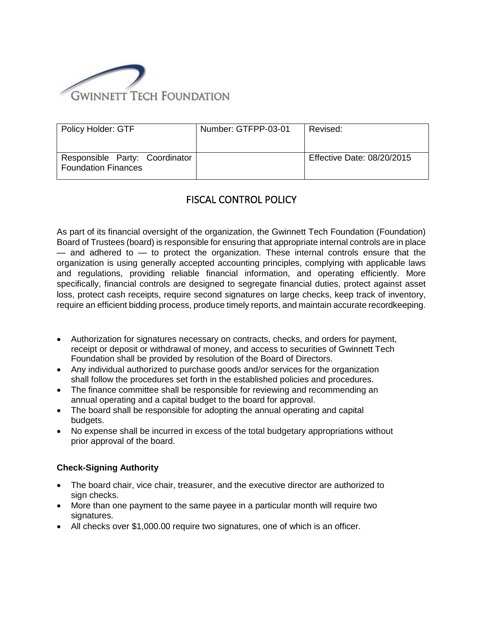

| Policy Holder: GTF                                           | Number: GTFPP-03-01 | Revised:                   |
|--------------------------------------------------------------|---------------------|----------------------------|
| Responsible Party: Coordinator<br><b>Foundation Finances</b> |                     | Effective Date: 08/20/2015 |

# FISCAL CONTROL POLICY

As part of its financial oversight of the organization, the Gwinnett Tech Foundation (Foundation) Board of Trustees (board) is responsible for ensuring that appropriate internal controls are in place  $-$  and adhered to  $-$  to protect the organization. These internal controls ensure that the organization is using generally accepted accounting principles, complying with applicable laws and regulations, providing reliable financial information, and operating efficiently. More specifically, financial controls are designed to segregate financial duties, protect against asset loss, protect cash receipts, require second signatures on large checks, keep track of inventory, require an efficient bidding process, produce timely reports, and maintain accurate recordkeeping.

- Authorization for signatures necessary on contracts, checks, and orders for payment, receipt or deposit or withdrawal of money, and access to securities of Gwinnett Tech Foundation shall be provided by resolution of the Board of Directors.
- Any individual authorized to purchase goods and/or services for the organization shall follow the procedures set forth in the established policies and procedures.
- The finance committee shall be responsible for reviewing and recommending an annual operating and a capital budget to the board for approval.
- The board shall be responsible for adopting the annual operating and capital budgets.
- No expense shall be incurred in excess of the total budgetary appropriations without prior approval of the board.

## **Check-Signing Authority**

- The board chair, vice chair, treasurer, and the executive director are authorized to sign checks.
- More than one payment to the same payee in a particular month will require two signatures.
- All checks over \$1,000.00 require two signatures, one of which is an officer.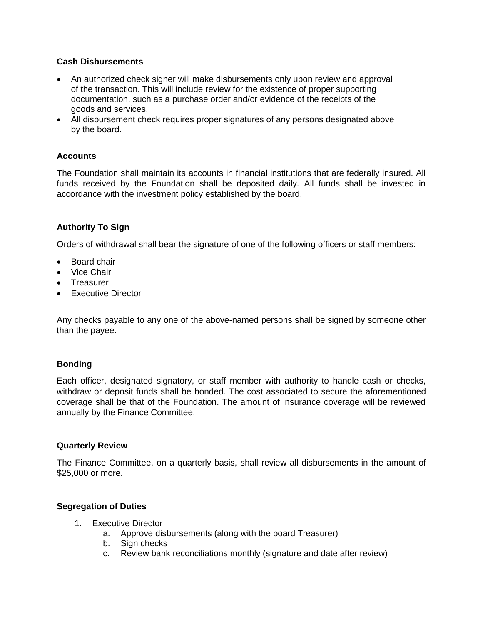### **Cash Disbursements**

- An authorized check signer will make disbursements only upon review and approval of the transaction. This will include review for the existence of proper supporting documentation, such as a purchase order and/or evidence of the receipts of the goods and services.
- All disbursement check requires proper signatures of any persons designated above by the board.

### **Accounts**

The Foundation shall maintain its accounts in financial institutions that are federally insured. All funds received by the Foundation shall be deposited daily. All funds shall be invested in accordance with the investment policy established by the board.

### **Authority To Sign**

Orders of withdrawal shall bear the signature of one of the following officers or staff members:

- Board chair
- Vice Chair
- Treasurer
- Executive Director

Any checks payable to any one of the above-named persons shall be signed by someone other than the payee.

### **Bonding**

Each officer, designated signatory, or staff member with authority to handle cash or checks, withdraw or deposit funds shall be bonded. The cost associated to secure the aforementioned coverage shall be that of the Foundation. The amount of insurance coverage will be reviewed annually by the Finance Committee.

#### **Quarterly Review**

The Finance Committee, on a quarterly basis, shall review all disbursements in the amount of \$25,000 or more.

### **Segregation of Duties**

- 1. Executive Director
	- a. Approve disbursements (along with the board Treasurer)
	- b. Sign checks
	- c. Review bank reconciliations monthly (signature and date after review)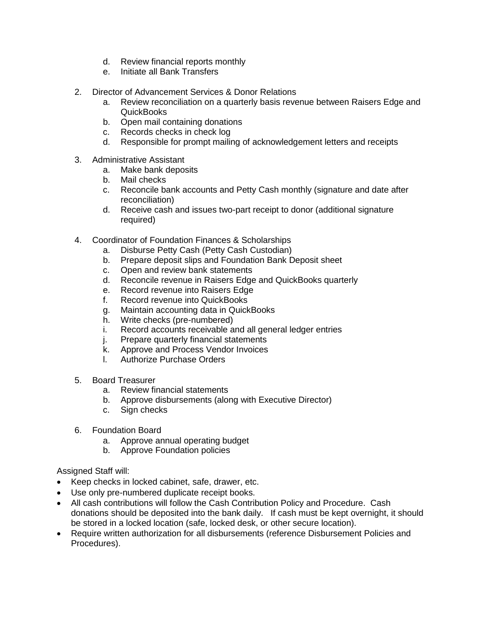- d. Review financial reports monthly
- e. Initiate all Bank Transfers
- 2. Director of Advancement Services & Donor Relations
	- a. Review reconciliation on a quarterly basis revenue between Raisers Edge and QuickBooks
	- b. Open mail containing donations
	- c. Records checks in check log
	- d. Responsible for prompt mailing of acknowledgement letters and receipts
- 3. Administrative Assistant
	- a. Make bank deposits
	- b. Mail checks
	- c. Reconcile bank accounts and Petty Cash monthly (signature and date after reconciliation)
	- d. Receive cash and issues two-part receipt to donor (additional signature required)
- 4. Coordinator of Foundation Finances & Scholarships
	- a. Disburse Petty Cash (Petty Cash Custodian)
	- b. Prepare deposit slips and Foundation Bank Deposit sheet
	- c. Open and review bank statements
	- d. Reconcile revenue in Raisers Edge and QuickBooks quarterly
	- e. Record revenue into Raisers Edge
	- f. Record revenue into QuickBooks
	- g. Maintain accounting data in QuickBooks
	- h. Write checks (pre-numbered)
	- i. Record accounts receivable and all general ledger entries
	- j. Prepare quarterly financial statements
	- k. Approve and Process Vendor Invoices
	- l. Authorize Purchase Orders
- 5. Board Treasurer
	- a. Review financial statements
	- b. Approve disbursements (along with Executive Director)
	- c. Sign checks
- 6. Foundation Board
	- a. Approve annual operating budget
	- b. Approve Foundation policies

Assigned Staff will:

- Keep checks in locked cabinet, safe, drawer, etc.
- Use only pre-numbered duplicate receipt books.
- All cash contributions will follow the Cash Contribution Policy and Procedure. Cash donations should be deposited into the bank daily. If cash must be kept overnight, it should be stored in a locked location (safe, locked desk, or other secure location).
- Require written authorization for all disbursements (reference Disbursement Policies and Procedures).